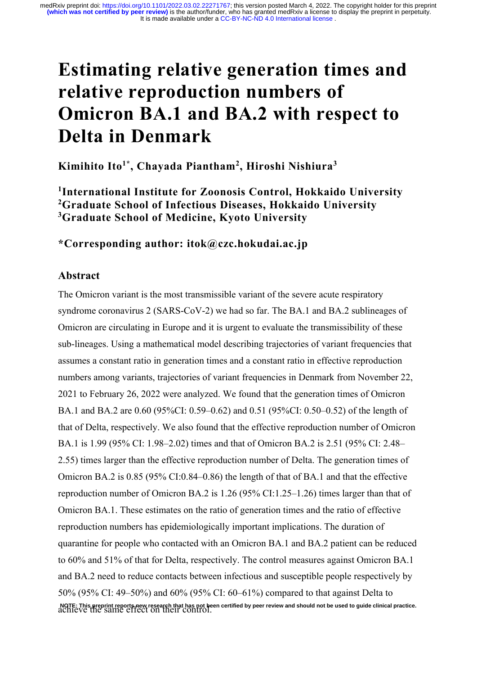# **Estimating relative generation times and relative reproduction numbers of Omicron BA.1 and BA.2 with respect to Delta in Denmark**

**Kimihito Ito1\* , Chayada Piantham2 , Hiroshi Nishiura3**

**1 International Institute for Zoonosis Control, Hokkaido University 2 Graduate School of Infectious Diseases, Hokkaido University 3 Graduate School of Medicine, Kyoto University**

**\*Corresponding author: itok@czc.hokudai.ac.jp**

## **Abstract**

The Omicron variant is the most transmissible variant of the severe acute respiratory syndrome coronavirus 2 (SARS-CoV-2) we had so far. The BA.1 and BA.2 sublineages of Omicron are circulating in Europe and it is urgent to evaluate the transmissibility of these sub-lineages. Using a mathematical model describing trajectories of variant frequencies that assumes a constant ratio in generation times and a constant ratio in effective reproduction numbers among variants, trajectories of variant frequencies in Denmark from November 22, 2021 to February 26, 2022 were analyzed. We found that the generation times of Omicron BA.1 and BA.2 are 0.60 (95%CI: 0.59–0.62) and 0.51 (95%CI: 0.50–0.52) of the length of that of Delta, respectively. We also found that the effective reproduction number of Omicron BA.1 is 1.99 (95% CI: 1.98–2.02) times and that of Omicron BA.2 is 2.51 (95% CI: 2.48– 2.55) times larger than the effective reproduction number of Delta. The generation times of Omicron BA.2 is 0.85 (95% CI:0.84–0.86) the length of that of BA.1 and that the effective reproduction number of Omicron BA.2 is 1.26 (95% CI:1.25–1.26) times larger than that of Omicron BA.1. These estimates on the ratio of generation times and the ratio of effective reproduction numbers has epidemiologically important implications. The duration of quarantine for people who contacted with an Omicron BA.1 and BA.2 patient can be reduced to 60% and 51% of that for Delta, respectively. The control measures against Omicron BA.1 and BA.2 need to reduce contacts between infectious and susceptible people respectively by 50% (95% CI: 49–50%) and 60% (95% CI: 60–61%) compared to that against Delta to NOTE: This preprint reports new research that has not been certified by peer review and should not be used to guide clinical practice.<br>ACHICVC THE SAME CITECT ON THEIT CONTIOL.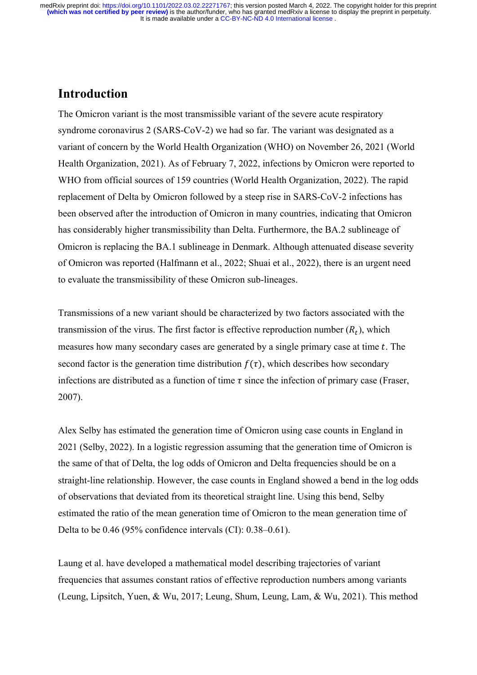## **Introduction**

The Omicron variant is the most transmissible variant of the severe acute respiratory syndrome coronavirus 2 (SARS-CoV-2) we had so far. The variant was designated as a variant of concern by the World Health Organization (WHO) on November 26, 2021 (World Health Organization, 2021). As of February 7, 2022, infections by Omicron were reported to WHO from official sources of 159 countries (World Health Organization, 2022). The rapid replacement of Delta by Omicron followed by a steep rise in SARS-CoV-2 infections has been observed after the introduction of Omicron in many countries, indicating that Omicron has considerably higher transmissibility than Delta. Furthermore, the BA.2 sublineage of Omicron is replacing the BA.1 sublineage in Denmark. Although attenuated disease severity of Omicron was reported (Halfmann et al., 2022; Shuai et al., 2022), there is an urgent need to evaluate the transmissibility of these Omicron sub-lineages.

Transmissions of a new variant should be characterized by two factors associated with the transmission of the virus. The first factor is effective reproduction number  $(R_t)$ , which measures how many secondary cases are generated by a single primary case at time  $t$ . The second factor is the generation time distribution  $f(\tau)$ , which describes how secondary infections are distributed as a function of time  $\tau$  since the infection of primary case (Fraser, 2007).

Alex Selby has estimated the generation time of Omicron using case counts in England in 2021 (Selby, 2022). In a logistic regression assuming that the generation time of Omicron is the same of that of Delta, the log odds of Omicron and Delta frequencies should be on a straight-line relationship. However, the case counts in England showed a bend in the log odds of observations that deviated from its theoretical straight line. Using this bend, Selby estimated the ratio of the mean generation time of Omicron to the mean generation time of Delta to be 0.46 (95% confidence intervals (CI): 0.38–0.61).

Laung et al. have developed a mathematical model describing trajectories of variant frequencies that assumes constant ratios of effective reproduction numbers among variants (Leung, Lipsitch, Yuen, & Wu, 2017; Leung, Shum, Leung, Lam, & Wu, 2021). This method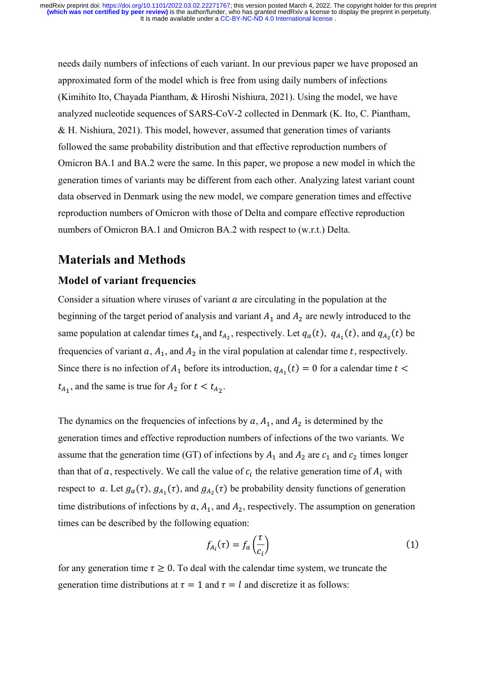needs daily numbers of infections of each variant. In our previous paper we have proposed an approximated form of the model which is free from using daily numbers of infections (Kimihito Ito, Chayada Piantham, & Hiroshi Nishiura, 2021). Using the model, we have analyzed nucleotide sequences of SARS-CoV-2 collected in Denmark (K. Ito, C. Piantham, & H. Nishiura, 2021). This model, however, assumed that generation times of variants followed the same probability distribution and that effective reproduction numbers of Omicron BA.1 and BA.2 were the same. In this paper, we propose a new model in which the generation times of variants may be different from each other. Analyzing latest variant count data observed in Denmark using the new model, we compare generation times and effective reproduction numbers of Omicron with those of Delta and compare effective reproduction numbers of Omicron BA.1 and Omicron BA.2 with respect to (w.r.t.) Delta.

## **Materials and Methods**

#### **Model of variant frequencies**

Consider a situation where viruses of variant  $\alpha$  are circulating in the population at the beginning of the target period of analysis and variant  $A_1$  and  $A_2$  are newly introduced to the same population at calendar times  $t_{A_1}$  and  $t_{A_2}$ , respectively. Let  $q_a(t)$ ,  $q_{A_1}(t)$ , and  $q_{A_2}(t)$  be frequencies of variant  $a$ ,  $A_1$ , and  $A_2$  in the viral population at calendar time t, respectively. Since there is no infection of  $A_1$  before its introduction,  $q_{A_1}(t) = 0$  for a calendar time  $t <$  $t_{A_1}$ , and the same is true for  $A_2$  for  $t < t_{A_2}$ .

The dynamics on the frequencies of infections by  $a, A_1$ , and  $A_2$  is determined by the generation times and effective reproduction numbers of infections of the two variants. We assume that the generation time (GT) of infections by  $A_1$  and  $A_2$  are  $c_1$  and  $c_2$  times longer than that of a, respectively. We call the value of  $c_i$  the relative generation time of  $A_i$  with respect to a. Let  $g_a(\tau)$ ,  $g_{A_1}(\tau)$ , and  $g_{A_2}(\tau)$  be probability density functions of generation time distributions of infections by  $a, A_1$ , and  $A_2$ , respectively. The assumption on generation times can be described by the following equation:

$$
f_{A_i}(\tau) = f_a\left(\frac{\tau}{c_i}\right) \tag{1}
$$

for any generation time  $\tau \geq 0$ . To deal with the calendar time system, we truncate the generation time distributions at  $\tau = 1$  and  $\tau = l$  and discretize it as follows: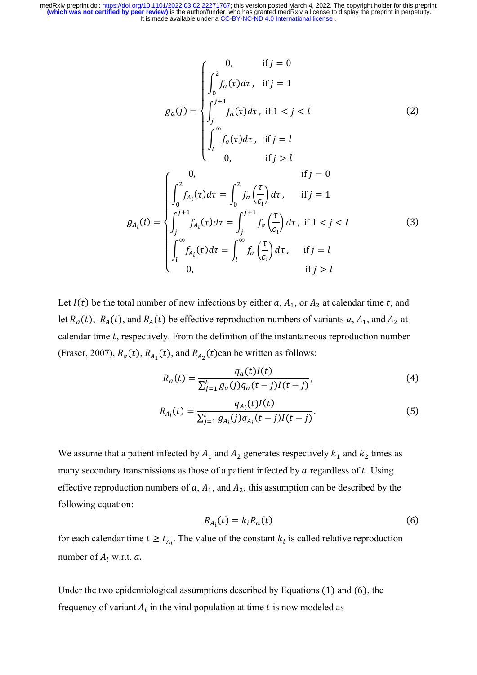$$
g_{a}(j) = \begin{cases} 0, & \text{if } j = 0 \\ \int_{0}^{2} f_{a}(\tau) d\tau, & \text{if } j = 1 \\ \int_{j}^{j+1} f_{a}(\tau) d\tau, & \text{if } 1 < j < l \\ \int_{l}^{\infty} f_{a}(\tau) d\tau, & \text{if } j = l \end{cases}
$$
(2)  

$$
g_{A_{i}}(i) = \begin{cases} 0, & \text{if } j > l \\ \int_{0}^{2} f_{A_{i}}(\tau) d\tau = \int_{0}^{2} f_{a}(\frac{\tau}{c_{i}}) d\tau, & \text{if } j = 1 \\ \int_{j}^{j+1} f_{A_{i}}(\tau) d\tau = \int_{j}^{j+1} f_{a}(\frac{\tau}{c_{i}}) d\tau, & \text{if } 1 < j < l \\ \int_{l}^{\infty} f_{A_{i}}(\tau) d\tau = \int_{l}^{\infty} f_{a}(\frac{\tau}{c_{i}}) d\tau, & \text{if } j = l \\ 0, & \text{if } j > l \end{cases}
$$
(3)

Let  $I(t)$  be the total number of new infections by either a,  $A_1$ , or  $A_2$  at calendar time t, and let  $R_a(t)$ ,  $R_A(t)$ , and  $R_A(t)$  be effective reproduction numbers of variants  $a, A_1$ , and  $A_2$  at calendar time  $t$ , respectively. From the definition of the instantaneous reproduction number (Fraser, 2007),  $R_a(t)$ ,  $R_{A_1}(t)$ , and  $R_{A_2}(t)$ can be written as follows:

$$
R_a(t) = \frac{q_a(t)I(t)}{\sum_{j=1}^{l} g_a(j)q_a(t-j)I(t-j)},
$$
\n(4)

$$
R_{A_i}(t) = \frac{q_{A_i}(t)I(t)}{\sum_{j=1}^{l} g_{A_i}(j)q_{A_i}(t-j)I(t-j)}.
$$
\n(5)

We assume that a patient infected by  $A_1$  and  $A_2$  generates respectively  $k_1$  and  $k_2$  times as many secondary transmissions as those of a patient infected by  $a$  regardless of  $t$ . Using effective reproduction numbers of  $a$ ,  $A_1$ , and  $A_2$ , this assumption can be described by the following equation:

$$
R_{A_i}(t) = k_i R_a(t) \tag{6}
$$

for each calendar time  $t \geq t_{A_i}$ . The value of the constant  $k_i$  is called relative reproduction number of  $A_i$  w.r.t.  $a$ .

Under the two epidemiological assumptions described by Equations (1) and (6), the frequency of variant  $A_i$  in the viral population at time  $t$  is now modeled as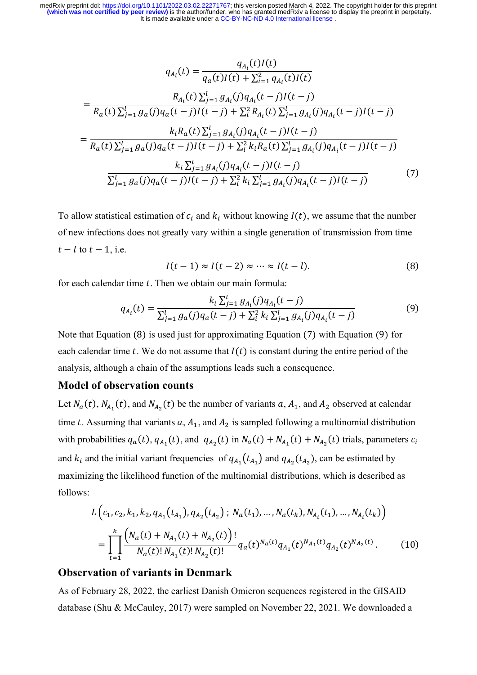$$
q_{A_i}(t) = \frac{q_{A_i}(t)I(t)}{q_a(t)I(t) + \sum_{i=1}^{2} q_{A_i}(t)I(t)}
$$
  
\n
$$
= \frac{R_{A_i}(t)\sum_{j=1}^{l} g_{A_i}(j)q_{A_i}(t-j)I(t-j)}{R_a(t)\sum_{j=1}^{l} g_a(j)q_a(t-j)I(t-j) + \sum_{i=1}^{2} R_{A_i}(t)\sum_{j=1}^{l} g_{A_i}(j)q_{A_i}(t-j)I(t-j)}
$$
  
\n
$$
= \frac{k_iR_a(t)\sum_{j=1}^{l} g_{A_i}(j)q_{A_i}(t-j)I(t-j)}{R_a(t)\sum_{j=1}^{l} g_a(j)q_a(t-j)I(t-j) + \sum_{i=1}^{2} k_iR_a(t)\sum_{j=1}^{l} g_{A_i}(j)q_{A_i}(t-j)I(t-j)}
$$
  
\n
$$
\frac{k_i\sum_{j=1}^{l} g_{A_i}(j)q_{A_i}(t-j)I(t-j)}{\sum_{j=1}^{l} g_a(j)q_a(t-j)I(t-j) + \sum_{i=1}^{2} k_i\sum_{j=1}^{l} g_{A_i}(j)q_{A_i}(t-j)I(t-j)}
$$
(7)

To allow statistical estimation of  $c_i$  and  $k_i$  without knowing  $I(t)$ , we assume that the number of new infections does not greatly vary within a single generation of transmission from time  $t - l$  to  $t - 1$ , i.e.

$$
I(t-1) \approx I(t-2) \approx \dots \approx I(t-l). \tag{8}
$$

for each calendar time  $t$ . Then we obtain our main formula:

$$
q_{A_i}(t) = \frac{k_i \sum_{j=1}^{l} g_{A_i}(j) q_{A_i}(t-j)}{\sum_{j=1}^{l} g_a(j) q_a(t-j) + \sum_{i}^{2} k_i \sum_{j=1}^{l} g_{A_i}(j) q_{A_i}(t-j)}
$$
(9)

Note that Equation (8) is used just for approximating Equation (7) with Equation (9) for each calendar time t. We do not assume that  $I(t)$  is constant during the entire period of the analysis, although a chain of the assumptions leads such a consequence.

#### **Model of observation counts**

Let  $N_a(t)$ ,  $N_{A_1}(t)$ , and  $N_{A_2}(t)$  be the number of variants  $a$ ,  $A_1$ , and  $A_2$  observed at calendar time t. Assuming that variants  $a$ ,  $A_1$ , and  $A_2$  is sampled following a multinomial distribution with probabilities  $q_a(t)$ ,  $q_{A_1}(t)$ , and  $q_{A_2}(t)$  in  $N_a(t) + N_{A_1}(t) + N_{A_2}(t)$  trials, parameters  $c_i$ and  $k_i$  and the initial variant frequencies of  $q_{A_1}(t_{A_1})$  and  $q_{A_2}(t_{A_2})$ , can be estimated by maximizing the likelihood function of the multinomial distributions, which is described as follows:

$$
L\left(c_1, c_2, k_1, k_2, q_{A_1}(t_{A_1}), q_{A_2}(t_{A_2}) ; N_a(t_1), ..., N_a(t_k), N_{A_i}(t_1), ..., N_{A_i}(t_k)\right)
$$
  
= 
$$
\prod_{t=1}^k \frac{\left(N_a(t) + N_{A_1}(t) + N_{A_2}(t)\right)!}{N_a(t)! N_{A_1}(t)! N_{A_2}(t)!} q_a(t)^{N_a(t)} q_{A_1}(t)^{N_{A_1}(t)} q_{A_2}(t)^{N_{A_2}(t)}.
$$
 (10)

#### **Observation of variants in Denmark**

As of February 28, 2022, the earliest Danish Omicron sequences registered in the GISAID database (Shu & McCauley, 2017) were sampled on November 22, 2021. We downloaded a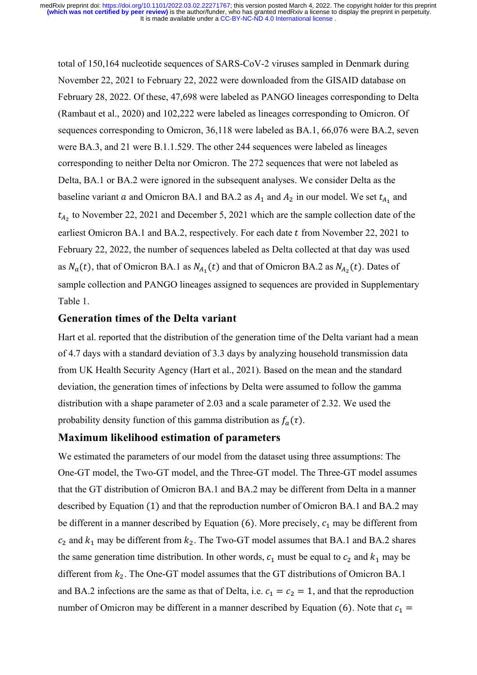total of 150,164 nucleotide sequences of SARS-CoV-2 viruses sampled in Denmark during November 22, 2021 to February 22, 2022 were downloaded from the GISAID database on February 28, 2022. Of these, 47,698 were labeled as PANGO lineages corresponding to Delta (Rambaut et al., 2020) and 102,222 were labeled as lineages corresponding to Omicron. Of sequences corresponding to Omicron, 36,118 were labeled as BA.1, 66,076 were BA.2, seven were BA.3, and 21 were B.1.1.529. The other 244 sequences were labeled as lineages corresponding to neither Delta nor Omicron. The 272 sequences that were not labeled as Delta, BA.1 or BA.2 were ignored in the subsequent analyses. We consider Delta as the baseline variant a and Omicron BA.1 and BA.2 as  $A_1$  and  $A_2$  in our model. We set  $t_{A_1}$  and  $t_{A_2}$  to November 22, 2021 and December 5, 2021 which are the sample collection date of the earliest Omicron BA.1 and BA.2, respectively. For each date t from November 22, 2021 to February 22, 2022, the number of sequences labeled as Delta collected at that day was used as  $N_a(t)$ , that of Omicron BA.1 as  $N_{A_1}(t)$  and that of Omicron BA.2 as  $N_{A_2}(t)$ . Dates of sample collection and PANGO lineages assigned to sequences are provided in Supplementary Table 1.

#### **Generation times of the Delta variant**

Hart et al. reported that the distribution of the generation time of the Delta variant had a mean of 4.7 days with a standard deviation of 3.3 days by analyzing household transmission data from UK Health Security Agency (Hart et al., 2021). Based on the mean and the standard deviation, the generation times of infections by Delta were assumed to follow the gamma distribution with a shape parameter of 2.03 and a scale parameter of 2.32. We used the probability density function of this gamma distribution as  $f_a(\tau)$ .

#### **Maximum likelihood estimation of parameters**

We estimated the parameters of our model from the dataset using three assumptions: The One-GT model, the Two-GT model, and the Three-GT model. The Three-GT model assumes that the GT distribution of Omicron BA.1 and BA.2 may be different from Delta in a manner described by Equation (1) and that the reproduction number of Omicron BA.1 and BA.2 may be different in a manner described by Equation (6). More precisely,  $c_1$  may be different from  $c_2$  and  $k_1$  may be different from  $k_2$ . The Two-GT model assumes that BA.1 and BA.2 shares the same generation time distribution. In other words,  $c_1$  must be equal to  $c_2$  and  $k_1$  may be different from  $k_2$ . The One-GT model assumes that the GT distributions of Omicron BA.1 and BA.2 infections are the same as that of Delta, i.e.  $c_1 = c_2 = 1$ , and that the reproduction number of Omicron may be different in a manner described by Equation (6). Note that  $c_1$  =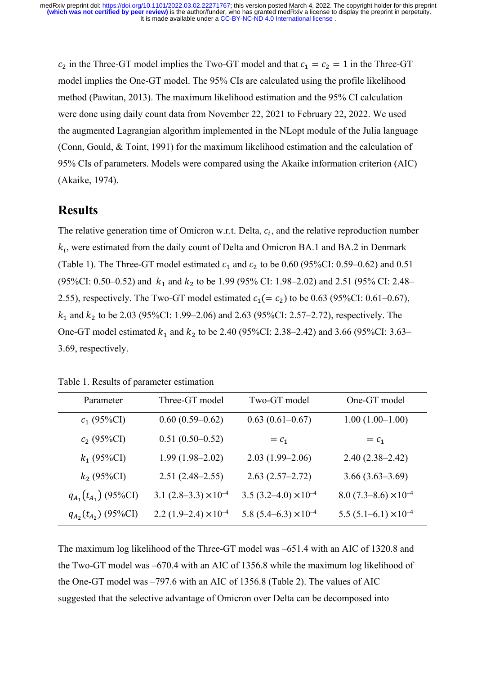$c_2$  in the Three-GT model implies the Two-GT model and that  $c_1 = c_2 = 1$  in the Three-GT model implies the One-GT model. The 95% CIs are calculated using the profile likelihood method (Pawitan, 2013). The maximum likelihood estimation and the 95% CI calculation were done using daily count data from November 22, 2021 to February 22, 2022. We used the augmented Lagrangian algorithm implemented in the NLopt module of the Julia language (Conn, Gould, & Toint, 1991) for the maximum likelihood estimation and the calculation of 95% CIs of parameters. Models were compared using the Akaike information criterion (AIC) (Akaike, 1974).

## **Results**

The relative generation time of Omicron w.r.t. Delta,  $c_i$ , and the relative reproduction number  $k_i$ , were estimated from the daily count of Delta and Omicron BA.1 and BA.2 in Denmark (Table 1). The Three-GT model estimated  $c_1$  and  $c_2$  to be 0.60 (95%CI: 0.59–0.62) and 0.51 (95%CI: 0.50–0.52) and  $k_1$  and  $k_2$  to be 1.99 (95% CI: 1.98–2.02) and 2.51 (95% CI: 2.48– 2.55), respectively. The Two-GT model estimated  $c_1 (= c_2)$  to be 0.63 (95%CI: 0.61–0.67),  $k_1$  and  $k_2$  to be 2.03 (95%CI: 1.99–2.06) and 2.63 (95%CI: 2.57–2.72), respectively. The One-GT model estimated  $k_1$  and  $k_2$  to be 2.40 (95%CI: 2.38–2.42) and 3.66 (95%CI: 3.63– 3.69, respectively.

| Parameter                  | Three-GT model                 | Two-GT model                     | One-GT model                   |
|----------------------------|--------------------------------|----------------------------------|--------------------------------|
| $c_1$ (95%CI)              | $0.60(0.59-0.62)$              | $0.63(0.61-0.67)$                | $1.00(1.00-1.00)$              |
| $c_2$ (95%CI)              | $0.51(0.50-0.52)$              | $= c_1$                          | $= c_1$                        |
| $k_1$ (95%CI)              | $1.99(1.98 - 2.02)$            | $2.03(1.99-2.06)$                | $2.40(2.38-2.42)$              |
| $k_2$ (95%CI)              | $2.51(2.48-2.55)$              | $2.63(2.57-2.72)$                | $3.66(3.63-3.69)$              |
| $q_{A_1}(t_{A_1})$ (95%CI) | 3.1 $(2.8-3.3) \times 10^{-4}$ | 3.5 $(3.2 - 4.0) \times 10^{-4}$ | 8.0 $(7.3-8.6) \times 10^{-4}$ |
| $q_{A_2}(t_{A_2})$ (95%CI) | 2.2 $(1.9-2.4) \times 10^{-4}$ | 5.8 $(5.4–6.3) \times 10^{-4}$   | 5.5 $(5.1-6.1) \times 10^{-4}$ |

The maximum log likelihood of the Three-GT model was –651.4 with an AIC of 1320.8 and the Two-GT model was –670.4 with an AIC of 1356.8 while the maximum log likelihood of the One-GT model was –797.6 with an AIC of 1356.8 (Table 2). The values of AIC suggested that the selective advantage of Omicron over Delta can be decomposed into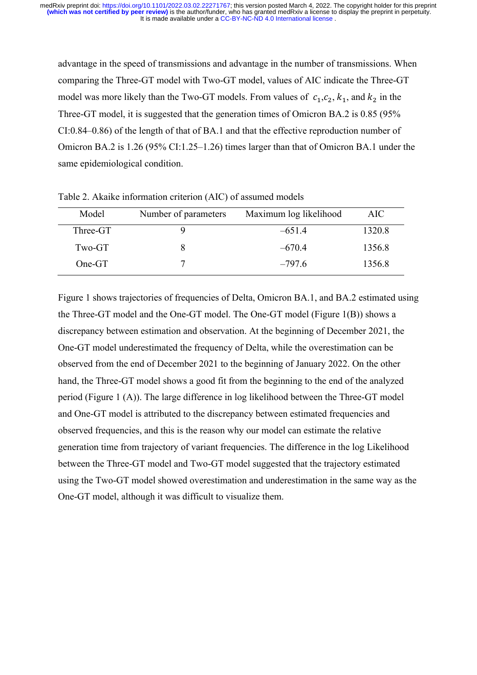advantage in the speed of transmissions and advantage in the number of transmissions. When comparing the Three-GT model with Two-GT model, values of AIC indicate the Three-GT model was more likely than the Two-GT models. From values of  $c_1, c_2, k_1$ , and  $k_2$  in the Three-GT model, it is suggested that the generation times of Omicron BA.2 is 0.85 (95% CI:0.84–0.86) of the length of that of BA.1 and that the effective reproduction number of Omicron BA.2 is 1.26 (95% CI:1.25–1.26) times larger than that of Omicron BA.1 under the same epidemiological condition.

| Model    | Number of parameters | Maximum log likelihood | AIC    |
|----------|----------------------|------------------------|--------|
| Three-GT | J.                   | $-651.4$               | 1320.8 |
| Two-GT   |                      | $-670.4$               | 1356.8 |
| $One-GT$ |                      | $-797.6$               | 1356.8 |

Table 2. Akaike information criterion (AIC) of assumed models

Figure 1 shows trajectories of frequencies of Delta, Omicron BA.1, and BA.2 estimated using the Three-GT model and the One-GT model. The One-GT model (Figure 1(B)) shows a discrepancy between estimation and observation. At the beginning of December 2021, the One-GT model underestimated the frequency of Delta, while the overestimation can be observed from the end of December 2021 to the beginning of January 2022. On the other hand, the Three-GT model shows a good fit from the beginning to the end of the analyzed period (Figure 1 (A)). The large difference in log likelihood between the Three-GT model and One-GT model is attributed to the discrepancy between estimated frequencies and observed frequencies, and this is the reason why our model can estimate the relative generation time from trajectory of variant frequencies. The difference in the log Likelihood between the Three-GT model and Two-GT model suggested that the trajectory estimated using the Two-GT model showed overestimation and underestimation in the same way as the One-GT model, although it was difficult to visualize them.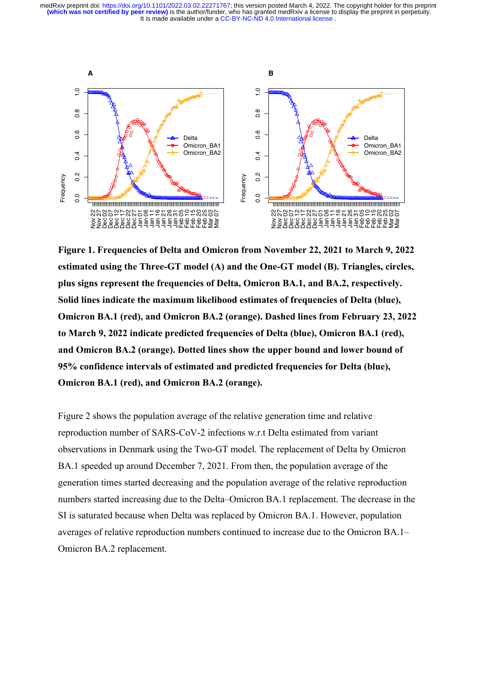It is made available under a [CC-BY-NC-ND 4.0 International license](http://creativecommons.org/licenses/by-nc-nd/4.0/) . **(which was not certified by peer review)** is the author/funder, who has granted medRxiv a license to display the preprint in perpetuity. medRxiv preprint doi: [https://doi.org/10.1101/2022.03.02.22271767;](https://doi.org/10.1101/2022.03.02.22271767) this version posted March 4, 2022. The copyright holder for this preprint



**Figure 1. Frequencies of Delta and Omicron from November 22, 2021 to March 9, 2022 estimated using the Three-GT model (A) and the One-GT model (B). Triangles, circles, plus signs represent the frequencies of Delta, Omicron BA.1, and BA.2, respectively. Solid lines indicate the maximum likelihood estimates of frequencies of Delta (blue), Omicron BA.1 (red), and Omicron BA.2 (orange). Dashed lines from February 23, 2022 to March 9, 2022 indicate predicted frequencies of Delta (blue), Omicron BA.1 (red), and Omicron BA.2 (orange). Dotted lines show the upper bound and lower bound of 95% confidence intervals of estimated and predicted frequencies for Delta (blue), Omicron BA.1 (red), and Omicron BA.2 (orange).** 

Figure 2 shows the population average of the relative generation time and relative reproduction number of SARS-CoV-2 infections w.r.t Delta estimated from variant observations in Denmark using the Two-GT model. The replacement of Delta by Omicron BA.1 speeded up around December 7, 2021. From then, the population average of the generation times started decreasing and the population average of the relative reproduction numbers started increasing due to the Delta–Omicron BA.1 replacement. The decrease in the SI is saturated because when Delta was replaced by Omicron BA.1. However, population averages of relative reproduction numbers continued to increase due to the Omicron BA.1–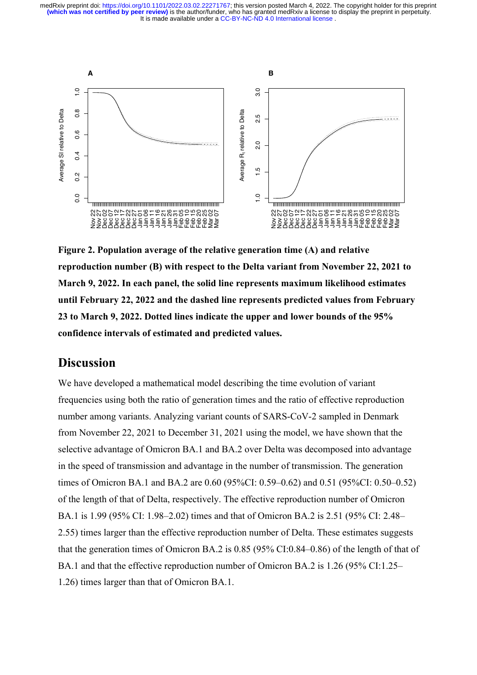It is made available under a [CC-BY-NC-ND 4.0 International license](http://creativecommons.org/licenses/by-nc-nd/4.0/) . **(which was not certified by peer review)** is the author/funder, who has granted medRxiv a license to display the preprint in perpetuity. medRxiv preprint doi: [https://doi.org/10.1101/2022.03.02.22271767;](https://doi.org/10.1101/2022.03.02.22271767) this version posted March 4, 2022. The copyright holder for this preprint



**Figure 2. Population average of the relative generation time (A) and relative reproduction number (B) with respect to the Delta variant from November 22, 2021 to March 9, 2022. In each panel, the solid line represents maximum likelihood estimates until February 22, 2022 and the dashed line represents predicted values from February 23 to March 9, 2022. Dotted lines indicate the upper and lower bounds of the 95% confidence intervals of estimated and predicted values.**

## **Discussion**

We have developed a mathematical model describing the time evolution of variant frequencies using both the ratio of generation times and the ratio of effective reproduction number among variants. Analyzing variant counts of SARS-CoV-2 sampled in Denmark from November 22, 2021 to December 31, 2021 using the model, we have shown that the selective advantage of Omicron BA.1 and BA.2 over Delta was decomposed into advantage in the speed of transmission and advantage in the number of transmission. The generation times of Omicron BA.1 and BA.2 are 0.60 (95%CI: 0.59–0.62) and 0.51 (95%CI: 0.50–0.52) of the length of that of Delta, respectively. The effective reproduction number of Omicron BA.1 is 1.99 (95% CI: 1.98–2.02) times and that of Omicron BA.2 is 2.51 (95% CI: 2.48– 2.55) times larger than the effective reproduction number of Delta. These estimates suggests that the generation times of Omicron BA.2 is 0.85 (95% CI:0.84–0.86) of the length of that of BA.1 and that the effective reproduction number of Omicron BA.2 is 1.26 (95% CI:1.25– 1.26) times larger than that of Omicron BA.1. 0.0 0.2 0.4 0.6 0.8 1.0 Average SI relative to Delta Nov 22 Nov 27 Dec 02 Dec 07 Dec 12 Dec 17 Dec 22 Dec 27 Jan 01 Jan 06 Jan 11 Jan 16 Jan 21 Jan 26 Jan 31 Feb 05 Feb 10 Feb 15 Feb 20 Feb 25 Mar 02 Mar 07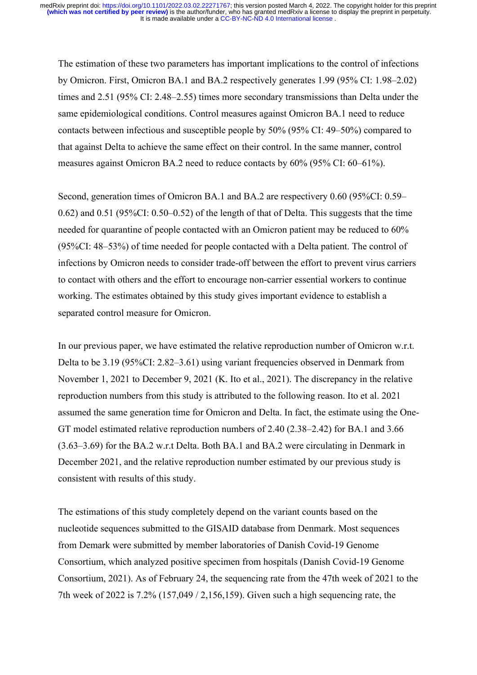The estimation of these two parameters has important implications to the control of infections by Omicron. First, Omicron BA.1 and BA.2 respectively generates 1.99 (95% CI: 1.98–2.02) times and 2.51 (95% CI: 2.48–2.55) times more secondary transmissions than Delta under the same epidemiological conditions. Control measures against Omicron BA.1 need to reduce contacts between infectious and susceptible people by 50% (95% CI: 49–50%) compared to that against Delta to achieve the same effect on their control. In the same manner, control measures against Omicron BA.2 need to reduce contacts by 60% (95% CI: 60–61%).

Second, generation times of Omicron BA.1 and BA.2 are respectivery 0.60 (95%CI: 0.59– 0.62) and 0.51 (95%CI: 0.50–0.52) of the length of that of Delta. This suggests that the time needed for quarantine of people contacted with an Omicron patient may be reduced to 60% (95%CI: 48–53%) of time needed for people contacted with a Delta patient. The control of infections by Omicron needs to consider trade-off between the effort to prevent virus carriers to contact with others and the effort to encourage non-carrier essential workers to continue working. The estimates obtained by this study gives important evidence to establish a separated control measure for Omicron.

In our previous paper, we have estimated the relative reproduction number of Omicron w.r.t. Delta to be 3.19 (95%CI: 2.82–3.61) using variant frequencies observed in Denmark from November 1, 2021 to December 9, 2021 (K. Ito et al., 2021). The discrepancy in the relative reproduction numbers from this study is attributed to the following reason. Ito et al. 2021 assumed the same generation time for Omicron and Delta. In fact, the estimate using the One-GT model estimated relative reproduction numbers of 2.40 (2.38–2.42) for BA.1 and 3.66 (3.63–3.69) for the BA.2 w.r.t Delta. Both BA.1 and BA.2 were circulating in Denmark in December 2021, and the relative reproduction number estimated by our previous study is consistent with results of this study.

The estimations of this study completely depend on the variant counts based on the nucleotide sequences submitted to the GISAID database from Denmark. Most sequences from Demark were submitted by member laboratories of Danish Covid-19 Genome Consortium, which analyzed positive specimen from hospitals (Danish Covid-19 Genome Consortium, 2021). As of February 24, the sequencing rate from the 47th week of 2021 to the 7th week of 2022 is 7.2% (157,049 / 2,156,159). Given such a high sequencing rate, the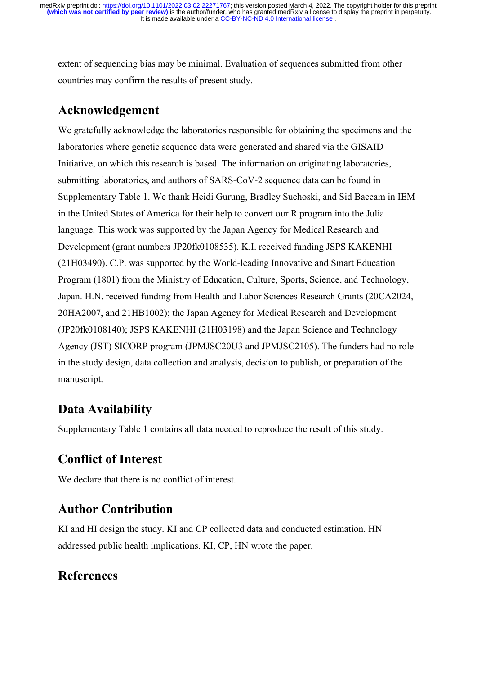extent of sequencing bias may be minimal. Evaluation of sequences submitted from other countries may confirm the results of present study.

## **Acknowledgement**

We gratefully acknowledge the laboratories responsible for obtaining the specimens and the laboratories where genetic sequence data were generated and shared via the GISAID Initiative, on which this research is based. The information on originating laboratories, submitting laboratories, and authors of SARS-CoV-2 sequence data can be found in Supplementary Table 1. We thank Heidi Gurung, Bradley Suchoski, and Sid Baccam in IEM in the United States of America for their help to convert our R program into the Julia language. This work was supported by the Japan Agency for Medical Research and Development (grant numbers JP20fk0108535). K.I. received funding JSPS KAKENHI (21H03490). C.P. was supported by the World-leading Innovative and Smart Education Program (1801) from the Ministry of Education, Culture, Sports, Science, and Technology, Japan. H.N. received funding from Health and Labor Sciences Research Grants (20CA2024, 20HA2007, and 21HB1002); the Japan Agency for Medical Research and Development (JP20fk0108140); JSPS KAKENHI (21H03198) and the Japan Science and Technology Agency (JST) SICORP program (JPMJSC20U3 and JPMJSC2105). The funders had no role in the study design, data collection and analysis, decision to publish, or preparation of the manuscript.

# **Data Availability**

Supplementary Table 1 contains all data needed to reproduce the result of this study.

## **Conflict of Interest**

We declare that there is no conflict of interest.

## **Author Contribution**

KI and HI design the study. KI and CP collected data and conducted estimation. HN addressed public health implications. KI, CP, HN wrote the paper.

# **References**